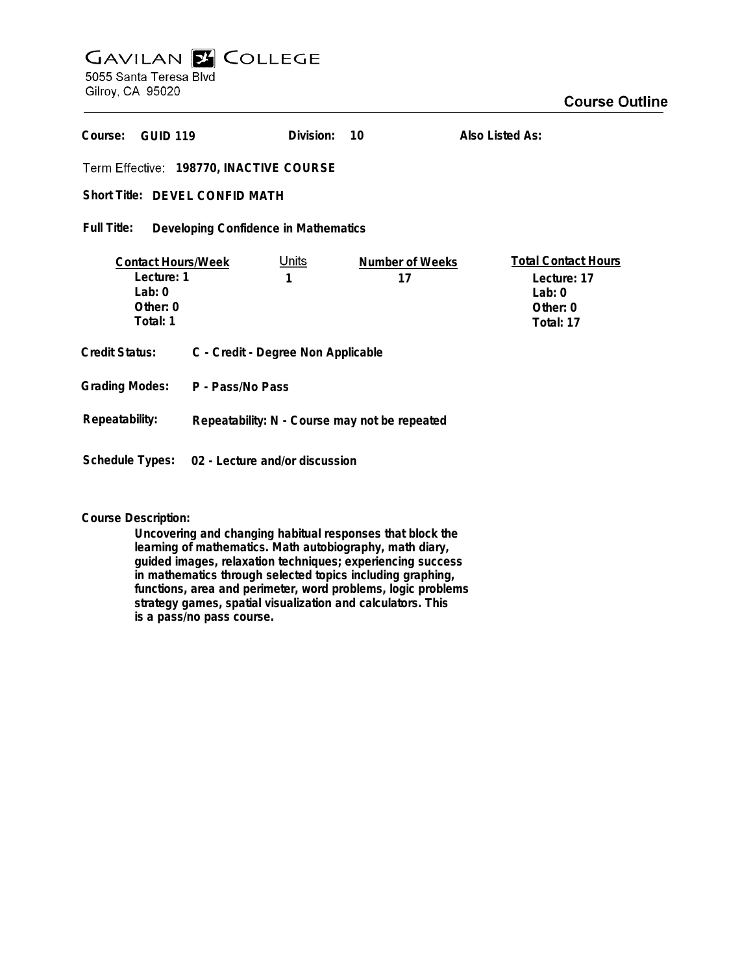# **GAVILAN Z COLLEGE** 5055 Santa Teresa Blvd

Gilroy, CA 95020

| Course:<br><b>GUID 119</b>                                                  |                                                | Division:         | 10                           | Also Listed As:                                                                  |
|-----------------------------------------------------------------------------|------------------------------------------------|-------------------|------------------------------|----------------------------------------------------------------------------------|
| Term Effective: 198770, INACTIVE COURSE                                     |                                                |                   |                              |                                                                                  |
| Short Title: DFVFL CONFID MATH                                              |                                                |                   |                              |                                                                                  |
| Full Title:<br>Developing Confidence in Mathematics                         |                                                |                   |                              |                                                                                  |
| <b>Contact Hours/Week</b><br>Lecture: 1<br>Lab: $0$<br>Other: 0<br>Total: 1 |                                                | <u>Units</u><br>1 | <b>Number of Weeks</b><br>17 | <b>Total Contact Hours</b><br>Lecture: 17<br>Lab: $0$<br>Other: $0$<br>Total: 17 |
| Credit Status:                                                              | C - Credit - Degree Non Applicable             |                   |                              |                                                                                  |
|                                                                             | Grading Modes: P - Pass/No Pass                |                   |                              |                                                                                  |
| Repeatability:                                                              | Repeatability: N - Course may not be repeated  |                   |                              |                                                                                  |
|                                                                             | Schedule Types: 02 - Lecture and/or discussion |                   |                              |                                                                                  |

**Course Description:**

**Uncovering and changing habitual responses that block the learning of mathematics. Math autobiography, math diary, guided images, relaxation techniques; experiencing success in mathematics through selected topics including graphing, functions, area and perimeter, word problems, logic problems strategy games, spatial visualization and calculators. This is a pass/no pass course.**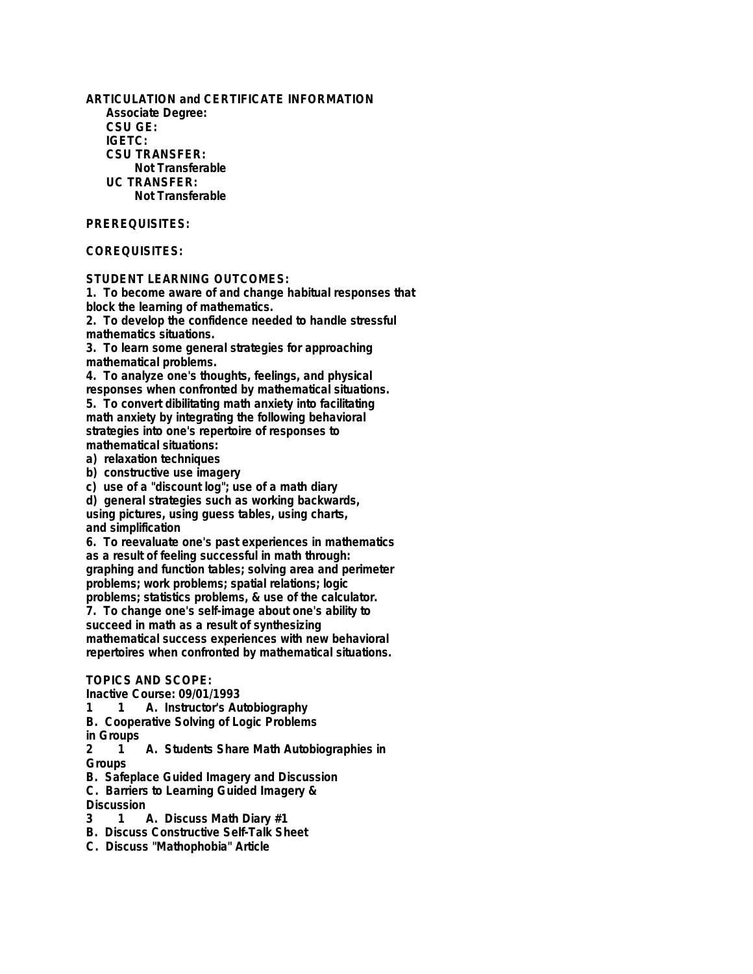**ARTICULATION and CERTIFICATE INFORMATION Associate Degree: CSU GE: IGETC: CSU TRANSFER: Not Transferable UC TRANSFER: Not Transferable**

#### **PREREQUISITES:**

## **COREQUISITES:**

## **STUDENT LEARNING OUTCOMES:**

**1. To become aware of and change habitual responses that block the learning of mathematics.**

**2. To develop the confidence needed to handle stressful mathematics situations.**

**3. To learn some general strategies for approaching mathematical problems.**

**4. To analyze one's thoughts, feelings, and physical responses when confronted by mathematical situations.**

**5. To convert dibilitating math anxiety into facilitating math anxiety by integrating the following behavioral strategies into one's repertoire of responses to mathematical situations:**

**a) relaxation techniques**

**b) constructive use imagery**

**c) use of a "discount log"; use of a math diary**

**d) general strategies such as working backwards, using pictures, using guess tables, using charts, and simplification**

**6. To reevaluate one's past experiences in mathematics as a result of feeling successful in math through: graphing and function tables; solving area and perimeter problems; work problems; spatial relations; logic problems; statistics problems, & use of the calculator.**

**7. To change one's self-image about one's ability to succeed in math as a result of synthesizing mathematical success experiences with new behavioral repertoires when confronted by mathematical situations.**

#### **TOPICS AND SCOPE:**

**Inactive Course: 09/01/1993**

**1 1 A. Instructor's Autobiography**

**B. Cooperative Solving of Logic Problems**

**in Groups**

**2 1 A. Students Share Math Autobiographies in Groups**

**B. Safeplace Guided Imagery and Discussion**

**C. Barriers to Learning Guided Imagery &**

Discussion<br>3 1 /

- **3 1 A. Discuss Math Diary #1**
- **B. Discuss Constructive Self-Talk Sheet**
- **C. Discuss "Mathophobia" Article**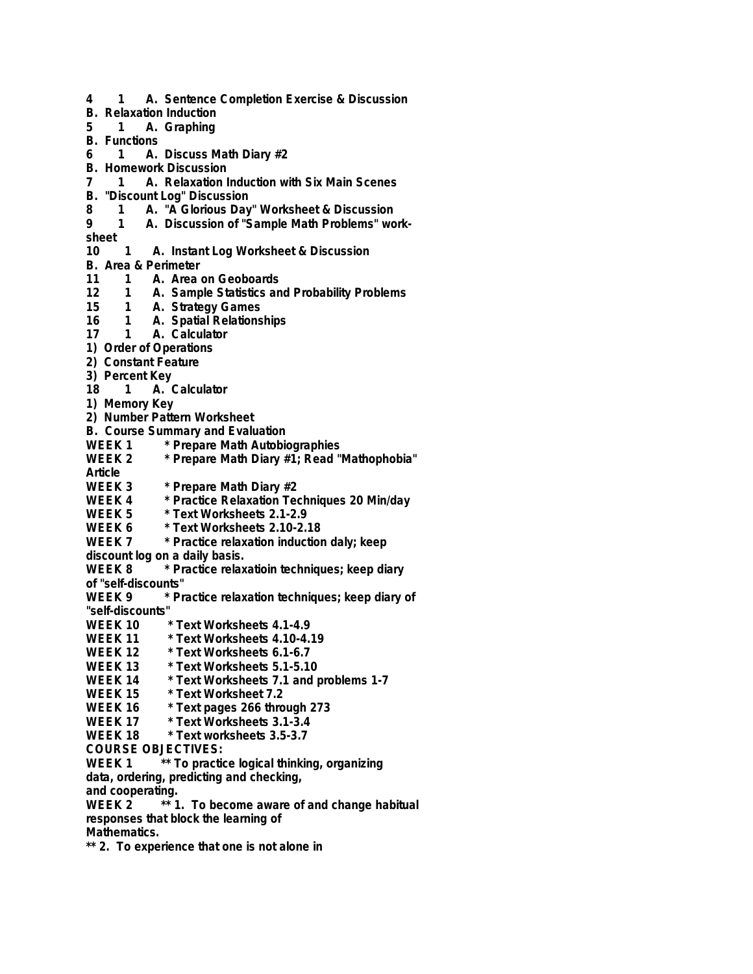**4 1 A. Sentence Completion Exercise & Discussion B. Relaxation Induction 5 1 A. Graphing B. Functions 6 1 A. Discuss Math Diary #2 B. Homework Discussion 7 1 A. Relaxation Induction with Six Main Scenes B. "Discount Log" Discussion 8 1 A. "A Glorious Day" Worksheet & Discussion** 1 A. Discussion of "Sample Math Problems" work**sheet 10 1 A. Instant Log Worksheet & Discussion B. Area & Perimeter 11 1 A. Area on Geoboards 12 1 A. Sample Statistics and Probability Problems 15 1 A. Strategy Games 16 1 A. Spatial Relationships 17 1 A. Calculator 1) Order of Operations 2) Constant Feature 3) Percent Key 18 1 A. Calculator 1) Memory Key 2) Number Pattern Worksheet B. Course Summary and Evaluation** WEEK 1 \* Prepare Math Autobiographies<br>WEEK 2 \* Prepare Math Diary #1: Read " \* Prepare Math Diary #1; Read "Mathophobia" **Article WEEK 3** \* Prepare Math Diary #2<br>WEEK 4 \* Practice Relaxation Ter **WEEK 4 \* Practice Relaxation Techniques 20 Min/day** WEEK 5 \* Text Worksheets 2.1-2.9<br>WEEK 6 \* Text Worksheets 2.10-2. **WEEK 6 \* Text Worksheets 2.10-2.18 WEEK 7 \* Practice relaxation induction daly; keep discount log on a daily basis. WEEK 8 \* Practice relaxatioin techniques; keep diary of "self-discounts" WEEK 9 \* Practice relaxation techniques; keep diary of "self-discounts" WEEK 10 \* Text Worksheets 4.1-4.9 WEEK 11 \* Text Worksheets 4.10-4.19 WEEK 12 \* Text Worksheets 6.1-6.7 WEEK 13 \* Text Worksheets 5.1-5.10 WEEK 14 \* Text Worksheets 7.1 and problems 1-7 WEEK 15 \* Text Worksheet 7.2 WEEK 16 \* Text pages 266 through 273 WEEK 17 \* Text Worksheets 3.1-3.4 WEEK 18 \* Text worksheets 3.5-3.7 COURSE OBJECTIVES: WEEK 1 \*\* To practice logical thinking, organizing data, ordering, predicting and checking, and cooperating. WEEK 2 \*\* 1. To become aware of and change habitual responses that block the learning of Mathematics. \*\* 2. To experience that one is not alone in**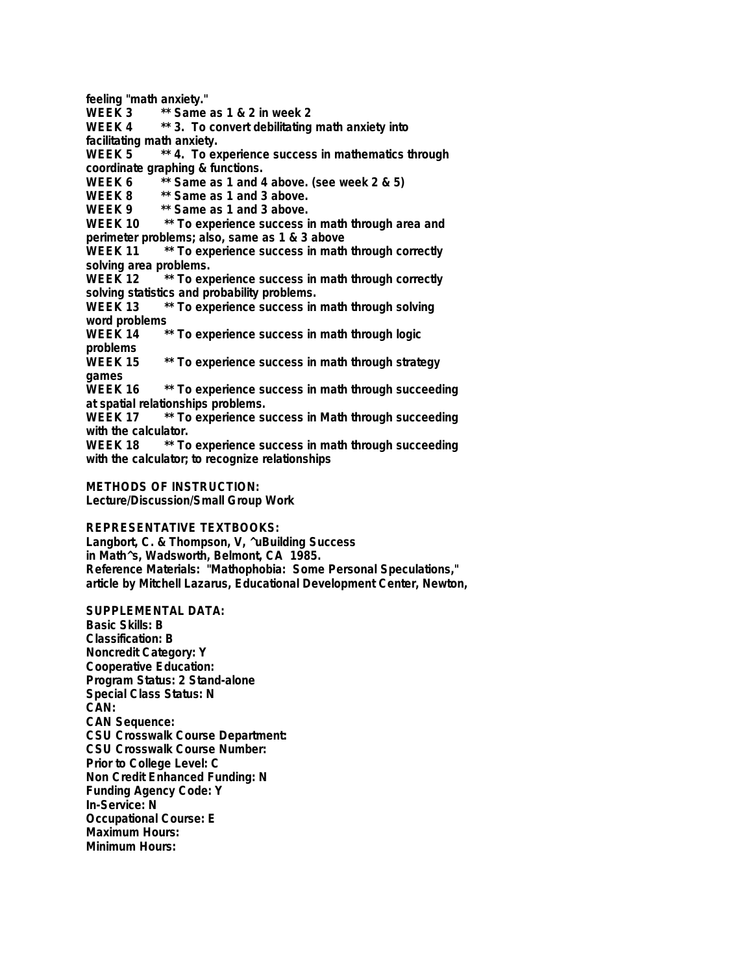**feeling "math anxiety." WEEK 3 \*\* Same as 1 & 2 in week 2 WEEK 4 \*\* 3. To convert debilitating math anxiety into facilitating math anxiety. WEEK 5 \*\* 4. To experience success in mathematics through coordinate graphing & functions.** WEEK 6 \*\* Same as 1 and 4 above. (see week 2 & 5)<br>WEEK 8 \*\* Same as 1 and 3 above. WEEK 8 \*\* Same as 1 and 3 above.<br>WEEK 9 \*\* Same as 1 and 3 above. \*\* Same as 1 and 3 above. **WEEK 10 \*\* To experience success in math through area and perimeter problems; also, same as 1 & 3 above WEEK 11 \*\* To experience success in math through correctly solving area problems. WEEK 12 \*\* To experience success in math through correctly** solving statistics and probability problems.<br>WEEK 13 <sup>\*\*</sup> To experience success in \*\* To experience success in math through solving **word problems WEEK 14 \*\* To experience success in math through logic problems** \*\* To experience success in math through strategy **games WEEK 16 \*\* To experience success in math through succeeding at spatial relationships problems. WEEK 17 \*\* To experience success in Math through succeeding** with the calculator.<br>WEEK 18 \*\* To \*\* To experience success in math through succeeding **with the calculator; to recognize relationships**

**METHODS OF INSTRUCTION: Lecture/Discussion/Small Group Work**

**REPRESENTATIVE TEXTBOOKS:**

**Langbort, C. & Thompson, V, ^uBuilding Success in Math^s, Wadsworth, Belmont, CA 1985. Reference Materials: "Mathophobia: Some Personal Speculations," article by Mitchell Lazarus, Educational Development Center, Newton,**

**SUPPLEMENTAL DATA: Basic Skills: B Classification: B Noncredit Category: Y Cooperative Education: Program Status: 2 Stand-alone Special Class Status: N CAN: CAN Sequence: CSU Crosswalk Course Department: CSU Crosswalk Course Number: Prior to College Level: C Non Credit Enhanced Funding: N Funding Agency Code: Y In-Service: N Occupational Course: E Maximum Hours: Minimum Hours:**